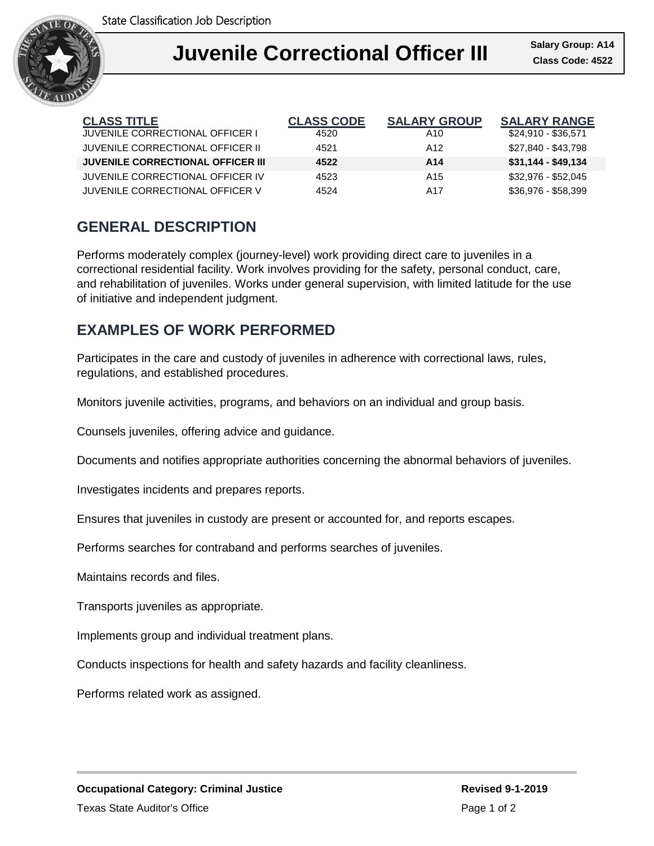

| <b>CLASS TITLE</b>                       | <b>CLASS CODE</b> | <b>SALARY GROUP</b> | <b>SALARY RANGE</b> |
|------------------------------------------|-------------------|---------------------|---------------------|
| JUVENILE CORRECTIONAL OFFICER I          | 4520              | A10                 | $$24,910 - $36,571$ |
| JUVENILE CORRECTIONAL OFFICER II         | 4521              | A <sub>12</sub>     | \$27.840 - \$43.798 |
| <b>JUVENILE CORRECTIONAL OFFICER III</b> | 4522              | A14                 | $$31,144 - $49,134$ |
| JUVENILE CORRECTIONAL OFFICER IV         | 4523              | A <sub>15</sub>     | \$32.976 - \$52.045 |
| JUVENILE CORRECTIONAL OFFICER V          | 4524              | A17                 | \$36.976 - \$58.399 |

## **GENERAL DESCRIPTION**

Performs moderately complex (journey-level) work providing direct care to juveniles in a correctional residential facility. Work involves providing for the safety, personal conduct, care, and rehabilitation of juveniles. Works under general supervision, with limited latitude for the use of initiative and independent judgment.

## **EXAMPLES OF WORK PERFORMED**

Participates in the care and custody of juveniles in adherence with correctional laws, rules, regulations, and established procedures.

Monitors juvenile activities, programs, and behaviors on an individual and group basis.

Counsels juveniles, offering advice and guidance.

Documents and notifies appropriate authorities concerning the abnormal behaviors of juveniles.

Investigates incidents and prepares reports.

Ensures that juveniles in custody are present or accounted for, and reports escapes.

Performs searches for contraband and performs searches of juveniles.

Maintains records and files.

Transports juveniles as appropriate.

Implements group and individual treatment plans.

Conducts inspections for health and safety hazards and facility cleanliness.

Performs related work as assigned.